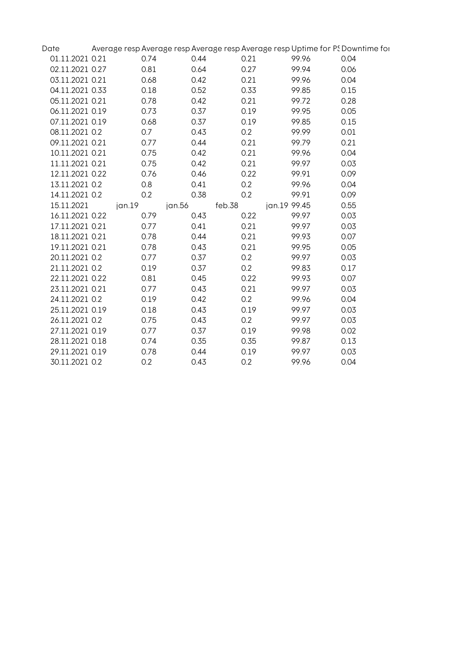| Date            |        |        |        |              | Average resp Average resp Average resp Average resp Uptime for PS Downtime for |  |
|-----------------|--------|--------|--------|--------------|--------------------------------------------------------------------------------|--|
| 01.11.2021 0.21 | 0.74   | 0.44   | 0.21   | 99.96        | 0.04                                                                           |  |
| 02.11.2021 0.27 | 0.81   | 0.64   | 0.27   | 99.94        | 0.06                                                                           |  |
| 03.11.2021 0.21 | 0.68   | 0.42   | 0.21   | 99.96        | 0.04                                                                           |  |
| 04.11.2021 0.33 | 0.18   | 0.52   | 0.33   | 99.85        | 0.15                                                                           |  |
| 05.11.2021 0.21 | 0.78   | 0.42   | 0.21   | 99.72        | 0.28                                                                           |  |
| 06.11.2021 0.19 | 0.73   | 0.37   | 0.19   | 99.95        | 0.05                                                                           |  |
| 07.11.2021 0.19 | 0.68   | 0.37   | 0.19   | 99.85        | 0.15                                                                           |  |
| 08.11.2021 0.2  | 0.7    | 0.43   | 0.2    | 99.99        | 0.01                                                                           |  |
| 09.11.2021 0.21 | 0.77   | 0.44   | 0.21   | 99.79        | 0.21                                                                           |  |
| 10.11.2021 0.21 | 0.75   | 0.42   | 0.21   | 99.96        | 0.04                                                                           |  |
| 11.11.2021 0.21 | 0.75   | 0.42   | 0.21   | 99.97        | 0.03                                                                           |  |
| 12.11.2021 0.22 | 0.76   | 0.46   | 0.22   | 99.91        | 0.09                                                                           |  |
| 13.11.2021 0.2  | 0.8    | 0.41   | 0.2    | 99.96        | 0.04                                                                           |  |
| 14.11.2021 0.2  | 0.2    | 0.38   | 0.2    | 99.91        | 0.09                                                                           |  |
| 15.11.2021      | jan.19 | jan.56 | feb.38 | jan.19 99.45 | 0.55                                                                           |  |
| 16.11.2021 0.22 | 0.79   | 0.43   | 0.22   | 99.97        | 0.03                                                                           |  |
| 17.11.2021 0.21 | 0.77   | 0.41   | 0.21   | 99.97        | 0.03                                                                           |  |
| 18.11.2021 0.21 | 0.78   | 0.44   | 0.21   | 99.93        | 0.07                                                                           |  |
| 19.11.2021 0.21 | 0.78   | 0.43   | 0.21   | 99.95        | 0.05                                                                           |  |
| 20.11.2021 0.2  | 0.77   | 0.37   | 0.2    | 99.97        | 0.03                                                                           |  |
| 21.11.2021 0.2  | 0.19   | 0.37   | 0.2    | 99.83        | 0.17                                                                           |  |
| 22.11.2021 0.22 | 0.81   | 0.45   | 0.22   | 99.93        | 0.07                                                                           |  |
| 23.11.2021 0.21 | 0.77   | 0.43   | 0.21   | 99.97        | 0.03                                                                           |  |
| 24.11.2021 0.2  | 0.19   | 0.42   | 0.2    | 99.96        | 0.04                                                                           |  |
| 25.11.2021 0.19 | 0.18   | 0.43   | 0.19   | 99.97        | 0.03                                                                           |  |
| 26.11.2021 0.2  | 0.75   | 0.43   | 0.2    | 99.97        | 0.03                                                                           |  |
| 27.11.2021 0.19 | 0.77   | 0.37   | 0.19   | 99.98        | 0.02                                                                           |  |
| 28.11.2021 0.18 | 0.74   | 0.35   | 0.35   | 99.87        | 0.13                                                                           |  |
| 29.11.2021 0.19 | 0.78   | 0.44   | 0.19   | 99.97        | 0.03                                                                           |  |
| 30.11.2021 0.2  | 0.2    | 0.43   | 0.2    | 99.96        | 0.04                                                                           |  |